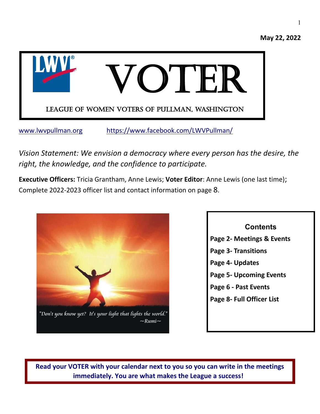

[www.lwvpullman.org](http://www.lwvpullman.org/) <https://www.facebook.com/LWVPullman/>

*Vision Statement: We envision a democracy where every person has the desire, the right, the knowledge, and the confidence to participate.*

**Executive Officers:** Tricia Grantham, Anne Lewis; **Voter Editor**: Anne Lewis (one last time); Complete 2022-2023 officer list and contact information on page 8.



# **Contents Page 2- Meetings & Events Page 3- Transitions Page 4- Updates Page 5- Upcoming Events Page 6 - Past Events Page 8- Full Officer List**

**Read your VOTER with your calendar next to you so you can write in the meetings immediately. You are what makes the League a success!**

**May 22, 2022**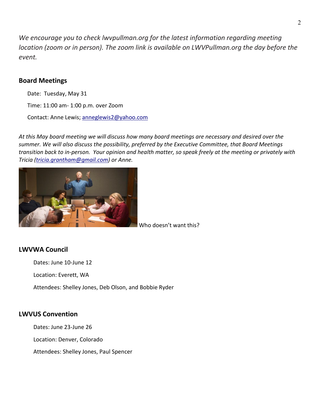*We encourage you to check lwvpullman.org for the latest information regarding meeting location (zoom or in person). The zoom link is available on LWVPullman.org the day before the event.*

### **Board Meetings**

Date: Tuesday, May 31

Time: 11:00 am- 1:00 p.m. over Zoom

Contact: Anne Lewis; [anneglewis2@yahoo.com](mailto:anneglewis2@yahoo.com)

*At this May board meeting we will discuss how many board meetings are necessary and desired over the summer. We will also discuss the possibility, preferred by the Executive Committee, that Board Meetings transition back to in-person. Your opinion and health matter, so speak freely at the meeting or privately with Tricia [\(tricia.grantham@gmail.com\)](mailto:tricia.grantham@gmail.com) or Anne.*



Who doesn't want this?

### **LWVWA Council**

Dates: June 10-June 12

Location: Everett, WA

Attendees: Shelley Jones, Deb Olson, and Bobbie Ryder

### **LWVUS Convention**

Dates: June 23-June 26

Location: Denver, Colorado

Attendees: Shelley Jones, Paul Spencer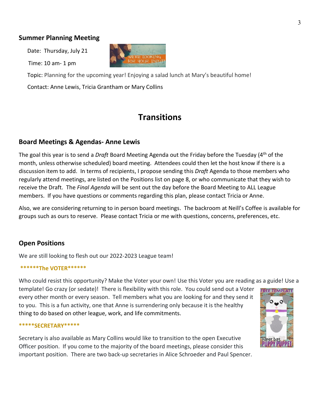### **Summer Planning Meeting**

Date: Thursday, July 21

Time: 10 am- 1 pm



 Topic: Planning for the upcoming year! Enjoying a salad lunch at Mary's beautiful home! Contact: Anne Lewis, Tricia Grantham or Mary Collins

## **Transitions**

### **Board Meetings & Agendas- Anne Lewis**

The goal this year is to send a *Draft* Board Meeting Agenda out the Friday before the Tuesday (4th of the month, unless otherwise scheduled) board meeting. Attendees could then let the host know if there is a discussion item to add. In terms of recipients, I propose sending this *Draft* Agenda to those members who regularly attend meetings, are listed on the Positions list on page 8, or who communicate that they wish to receive the Draft. The *Final Agenda* will be sent out the day before the Board Meeting to ALL League members. If you have questions or comments regarding this plan, please contact Tricia or Anne.

Also, we are considering returning to in person board meetings. The backroom at Neill's Coffee is available for groups such as ours to reserve. Please contact Tricia or me with questions, concerns, preferences, etc.

### **Open Positions**

We are still looking to flesh out our 2022-2023 League team!

#### **\*\*\*\*\*\*The VOTER\*\*\*\*\*\***

Who could resist this opportunity? Make the Voter your own! Use this Voter you are reading as a guide! Use a

template! Go crazy (or sedate)! There is flexibility with this role. You could send out a Voter every other month or every season. Tell members what you are looking for and they send it to you. This is a fun activity, one that Anne is surrendering only because it is the healthy thing to do based on other league, work, and life commitments.

#### **\*\*\*\*\*SECRETARY\*\*\*\*\***

Secretary is also available as Mary Collins would like to transition to the open Executive Officer position. If you come to the majority of the board meetings, please consider this important position. There are two back-up secretaries in Alice Schroeder and Paul Spencer.

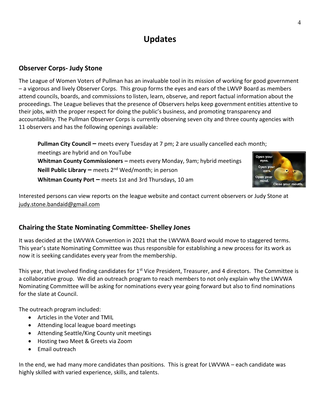# **Updates**

### **Observer Corps- Judy Stone**

The League of Women Voters of Pullman has an invaluable tool in its mission of working for good government – a vigorous and lively Observer Corps. This group forms the eyes and ears of the LWVP Board as members attend councils, boards, and commissions to listen, learn, observe, and report factual information about the proceedings. The League believes that the presence of Observers helps keep government entities attentive to their jobs, with the proper respect for doing the public's business, and promoting transparency and accountability. The Pullman Observer Corps is currently observing seven city and three county agencies with 11 observers and has the following openings available:

**Pullman City Council –** meets every Tuesday at 7 pm; 2 are usually cancelled each month; meetings are hybrid and on YouTube  **Whitman County Commissioners –** meets every Monday, 9am; hybrid meetings eves. **Neill Public Library –** meets 2nd Wed/month; in person **Whitman County Port –** meets 1st and 3rd Thursdays, 10 am

Interested persons can view reports on the league website and contact current observers or Judy Stone at [judy.stone.bandaid@gmail.com](mailto:judy.stone.bandaid@gmail.com)

### **Chairing the State Nominating Committee- Shelley Jones**

It was decided at the LWVWA Convention in 2021 that the LWVWA Board would move to staggered terms. This year's state Nominating Committee was thus responsible for establishing a new process for its work as now it is seeking candidates every year from the membership.

This year, that involved finding candidates for  $1<sup>st</sup>$  Vice President, Treasurer, and 4 directors. The Committee is a collaborative group. We did an outreach program to reach members to not only explain why the LWVWA Nominating Committee will be asking for nominations every year going forward but also to find nominations for the slate at Council.

The outreach program included:

- Articles in the Voter and TMIL
- Attending local league board meetings
- Attending Seattle/King County unit meetings
- Hosting two Meet & Greets via Zoom
- Email outreach

In the end, we had many more candidates than positions. This is great for LWVWA – each candidate was highly skilled with varied experience, skills, and talents.

4

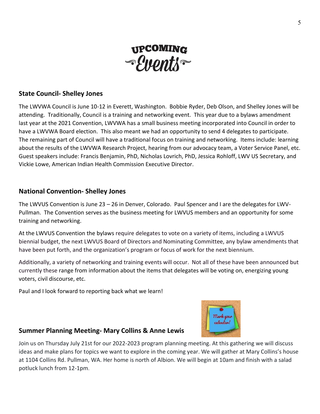

### **State Council- Shelley Jones**

The LWVWA Council is June 10-12 in Everett, Washington. Bobbie Ryder, Deb Olson, and Shelley Jones will be attending. Traditionally, Council is a training and networking event. This year due to a bylaws amendment last year at the 2021 Convention, LWVWA has a small business meeting incorporated into Council in order to have a LWVWA Board election. This also meant we had an opportunity to send 4 delegates to participate. The remaining part of Council will have a traditional focus on training and networking. Items include: learning about the results of the LWVWA Research Project, hearing from our advocacy team, a Voter Service Panel, etc. Guest speakers include: Francis Benjamin, PhD, Nicholas Lovrich, PhD, Jessica Rohloff, LWV US Secretary, and Vickie Lowe, American Indian Health Commission Executive Director.

### **National Convention- Shelley Jones**

The LWVUS Convention is June 23 – 26 in Denver, Colorado. Paul Spencer and I are the delegates for LWV-Pullman. The Convention serves as the business meeting for LWVUS members and an opportunity for some training and networking.

At the LWVUS Convention the bylaws require delegates to vote on a variety of items, including a LWVUS biennial budget, the next LWVUS Board of Directors and Nominating Committee, any bylaw amendments that have been put forth, and the organization's program or focus of work for the next biennium.

Additionally, a variety of networking and training events will occur. Not all of these have been announced but currently these range from information about the items that delegates will be voting on, energizing young voters, civil discourse, etc.

Paul and I look forward to reporting back what we learn!

### **Summer Planning Meeting- Mary Collins & Anne Lewis**

Join us on Thursday July 21st for our 2022-2023 program planning meeting. At this gathering we will discuss ideas and make plans for topics we want to explore in the coming year. We will gather at Mary Collins's house at 1104 Collins Rd. Pullman, WA. Her home is north of Albion. We will begin at 10am and finish with a salad potluck lunch from 12-1pm.

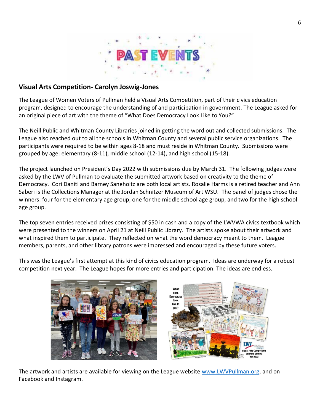

### **Visual Arts Competition- Carolyn Joswig-Jones**

The League of Women Voters of Pullman held a Visual Arts Competition, part of their civics education program, designed to encourage the understanding of and participation in government. The League asked for an original piece of art with the theme of "What Does Democracy Look Like to You?"

The Neill Public and Whitman County Libraries joined in getting the word out and collected submissions. The League also reached out to all the schools in Whitman County and several public service organizations. The participants were required to be within ages 8-18 and must reside in Whitman County. Submissions were grouped by age: elementary (8-11), middle school (12-14), and high school (15-18).

The project launched on President's Day 2022 with submissions due by March 31. The following judges were asked by the LWV of Pullman to evaluate the submitted artwork based on creativity to the theme of Democracy. Cori Daniti and Barney Saneholtz are both local artists. Rosalie Harms is a retired teacher and Ann Saberi is the Collections Manager at the Jordan Schnitzer Museum of Art WSU. The panel of judges chose the winners: four for the elementary age group, one for the middle school age group, and two for the high school age group.

The top seven entries received prizes consisting of \$50 in cash and a copy of the LWVWA civics textbook which were presented to the winners on April 21 at Neill Public Library. The artists spoke about their artwork and what inspired them to participate. They reflected on what the word democracy meant to them. League members, parents, and other library patrons were impressed and encouraged by these future voters.

This was the League's first attempt at this kind of civics education program. Ideas are underway for a robust competition next year. The League hopes for more entries and participation. The ideas are endless.



The artwork and artists are available for viewing on the League website [www.LWVPullman.org,](http://www.lwvpullman.org/) and on Facebook and Instagram.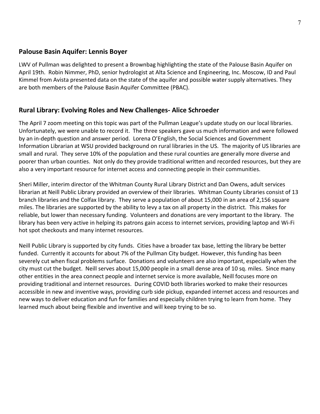### **Palouse Basin Aquifer: Lennis Boyer**

LWV of Pullman was delighted to present a Brownbag highlighting the state of the Palouse Basin Aquifer on April 19th. Robin Nimmer, PhD, senior hydrologist at Alta Science and Engineering, Inc. Moscow, ID and Paul Kimmel from Avista presented data on the state of the aquifer and possible water supply alternatives. They are both members of the Palouse Basin Aquifer Committee (PBAC).

### **Rural Library: Evolving Roles and New Challenges- Alice Schroeder**

The April 7 zoom meeting on this topic was part of the Pullman League's update study on our local libraries. Unfortunately, we were unable to record it. The three speakers gave us much information and were followed by an in-depth question and answer period. Lorena O'English, the Social Sciences and Government Information Librarian at WSU provided background on rural libraries in the US. The majority of US libraries are small and rural. They serve 10% of the population and these rural counties are generally more diverse and poorer than urban counties. Not only do they provide traditional written and recorded resources, but they are also a very important resource for internet access and connecting people in their communities.

Sheri Miller, interim director of the Whitman County Rural Library District and Dan Owens, adult services librarian at Neill Public Library provided an overview of their libraries. Whitman County Libraries consist of 13 branch libraries and the Colfax library. They serve a population of about 15,000 in an area of 2,156 square miles. The libraries are supported by the ability to levy a tax on all property in the district. This makes for reliable, but lower than necessary funding. Volunteers and donations are very important to the library. The library has been very active in helping its patrons gain access to internet services, providing laptop and Wi-Fi hot spot checkouts and many internet resources.

Neill Public Library is supported by city funds. Cities have a broader tax base, letting the library be better funded. Currently it accounts for about 7% of the Pullman City budget. However, this funding has been severely cut when fiscal problems surface. Donations and volunteers are also important, especially when the city must cut the budget. Neill serves about 15,000 people in a small dense area of 10 sq. miles. Since many other entities in the area connect people and internet service is more available, Neill focuses more on providing traditional and internet resources. During COVID both libraries worked to make their resources accessible in new and inventive ways, providing curb side pickup, expanded internet access and resources and new ways to deliver education and fun for families and especially children trying to learn from home. They learned much about being flexible and inventive and will keep trying to be so.